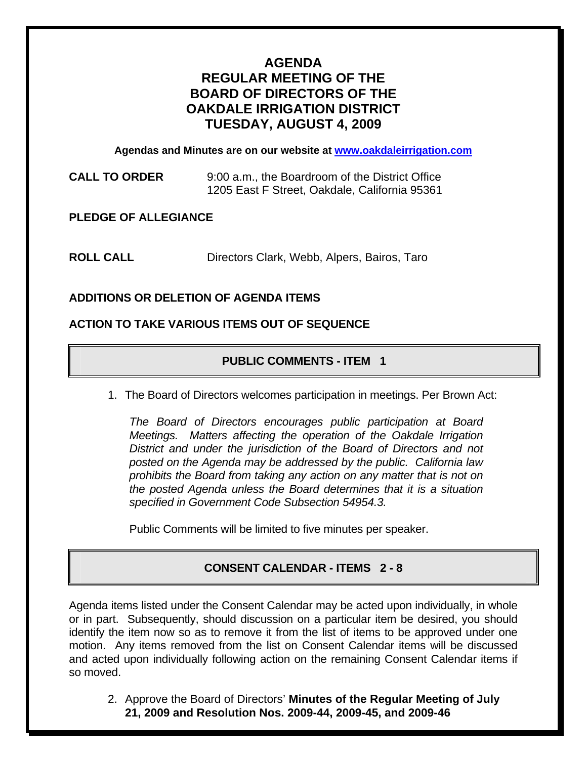# **AGENDA REGULAR MEETING OF THE BOARD OF DIRECTORS OF THE OAKDALE IRRIGATION DISTRICT TUESDAY, AUGUST 4, 2009**

**Agendas and Minutes are on our website at www.oakdaleirrigation.com**

**CALL TO ORDER** 9:00 a.m., the Boardroom of the District Office 1205 East F Street, Oakdale, California 95361

**PLEDGE OF ALLEGIANCE** 

**ROLL CALL** Directors Clark, Webb, Alpers, Bairos, Taro

## **ADDITIONS OR DELETION OF AGENDA ITEMS**

### **ACTION TO TAKE VARIOUS ITEMS OUT OF SEQUENCE**

## **PUBLIC COMMENTS - ITEM 1**

1. The Board of Directors welcomes participation in meetings. Per Brown Act:

*The Board of Directors encourages public participation at Board Meetings. Matters affecting the operation of the Oakdale Irrigation District and under the jurisdiction of the Board of Directors and not posted on the Agenda may be addressed by the public. California law prohibits the Board from taking any action on any matter that is not on the posted Agenda unless the Board determines that it is a situation specified in Government Code Subsection 54954.3.*

Public Comments will be limited to five minutes per speaker.

## **CONSENT CALENDAR - ITEMS 2 - 8**

Agenda items listed under the Consent Calendar may be acted upon individually, in whole or in part. Subsequently, should discussion on a particular item be desired, you should identify the item now so as to remove it from the list of items to be approved under one motion. Any items removed from the list on Consent Calendar items will be discussed and acted upon individually following action on the remaining Consent Calendar items if so moved.

2. Approve the Board of Directors' **Minutes of the Regular Meeting of July 21, 2009 and Resolution Nos. 2009-44, 2009-45, and 2009-46**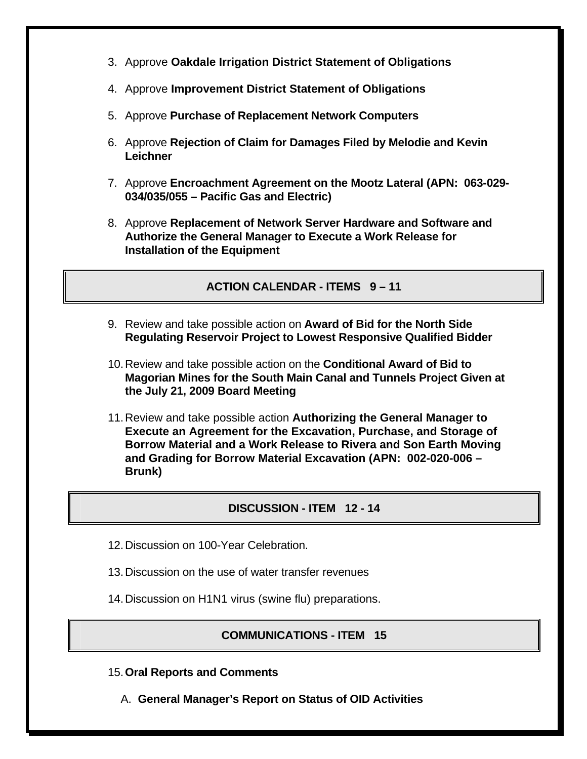- 3. Approve **Oakdale Irrigation District Statement of Obligations**
- 4. Approve **Improvement District Statement of Obligations**
- 5. Approve **Purchase of Replacement Network Computers**
- 6. Approve **Rejection of Claim for Damages Filed by Melodie and Kevin Leichner**
- 7. Approve **Encroachment Agreement on the Mootz Lateral (APN: 063-029- 034/035/055 – Pacific Gas and Electric)**
- 8. Approve **Replacement of Network Server Hardware and Software and Authorize the General Manager to Execute a Work Release for Installation of the Equipment**

**ACTION CALENDAR - ITEMS 9 – 11** 

- 9. Review and take possible action on **Award of Bid for the North Side Regulating Reservoir Project to Lowest Responsive Qualified Bidder**
- 10. Review and take possible action on the **Conditional Award of Bid to Magorian Mines for the South Main Canal and Tunnels Project Given at the July 21, 2009 Board Meeting**
- 11. Review and take possible action **Authorizing the General Manager to Execute an Agreement for the Excavation, Purchase, and Storage of Borrow Material and a Work Release to Rivera and Son Earth Moving and Grading for Borrow Material Excavation (APN: 002-020-006 – Brunk)**

#### **DISCUSSION - ITEM 12 - 14**

- 12. Discussion on 100-Year Celebration.
- 13. Discussion on the use of water transfer revenues
- 14. Discussion on H1N1 virus (swine flu) preparations.

## **COMMUNICATIONS - ITEM 15**

- 15. **Oral Reports and Comments**
	- A. **General Manager's Report on Status of OID Activities**